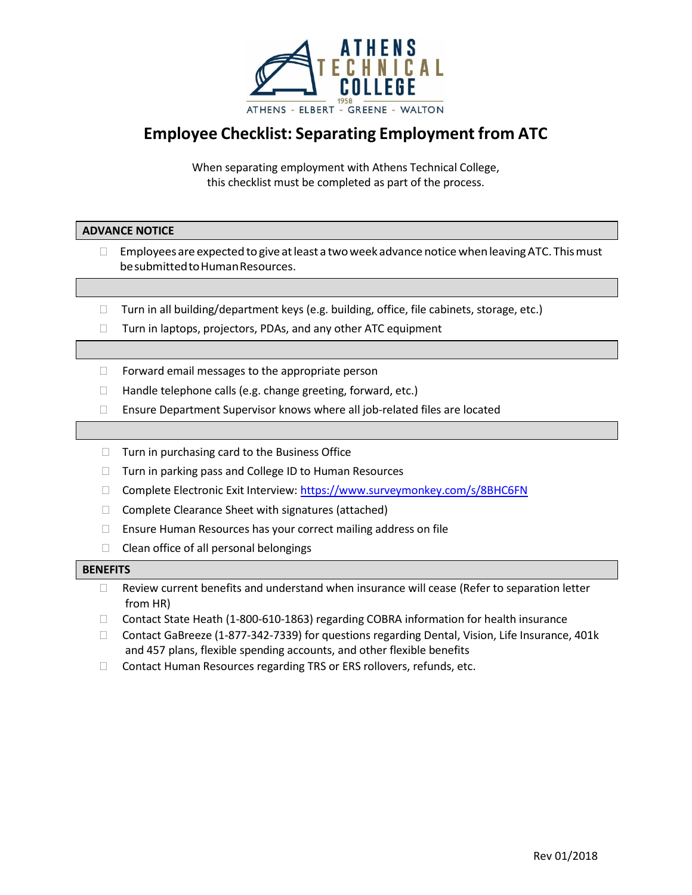

## **Employee Checklist: Separating Employment from ATC**

When separating employment with Athens Technical College, this checklist must be completed as part of the process.

## **ADVANCE NOTICE**

- $\Box$  Employees are expected to give at least a two week advance notice when leaving ATC. This must be submitted to Human Resources.
- $\Box$  Turn in all building/department keys (e.g. building, office, file cabinets, storage, etc.)
- $\Box$  Turn in laptops, projectors, PDAs, and any other ATC equipment
- $\Box$  Forward email messages to the appropriate person
- $\Box$  Handle telephone calls (e.g. change greeting, forward, etc.)
- Ensure Department Supervisor knows where all job-related files are located
- $\Box$  Turn in purchasing card to the Business Office
- □ Turn in parking pass and College ID to Human Resources
- □ Complete Electronic Exit Interview: <https://www.surveymonkey.com/s/8BHC6FN>
- $\Box$  Complete Clearance Sheet with signatures (attached)
- $\Box$  Ensure Human Resources has your correct mailing address on file
- $\Box$  Clean office of all personal belongings

## **BENEFITS**

- Review current benefits and understand when insurance will cease (Refer to separation letter from HR)
- □ Contact State Heath (1-800-610-1863) regarding COBRA information for health insurance
- Contact GaBreeze (1-877-342-7339) for questions regarding Dental, Vision, Life Insurance, 401k and 457 plans, flexible spending accounts, and other flexible benefits
- □ Contact Human Resources regarding TRS or ERS rollovers, refunds, etc.